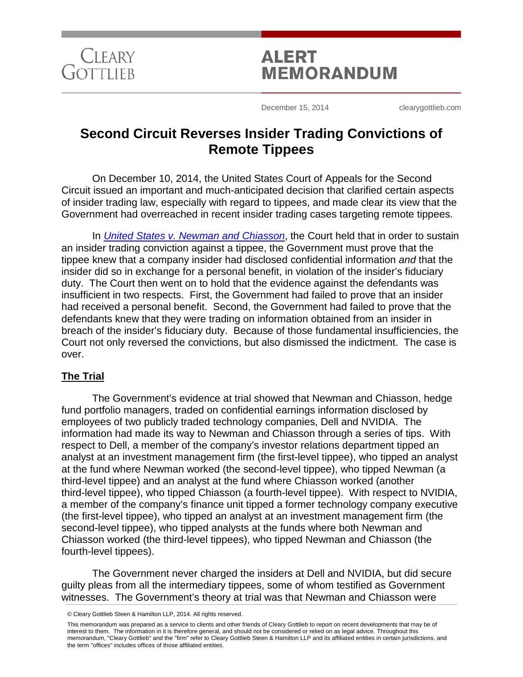

# **ALERT MEMORANDUM**

December 15, 2014 clearygottlieb.com

# **Second Circuit Reverses Insider Trading Convictions of Remote Tippees**

On December 10, 2014, the United States Court of Appeals for the Second Circuit issued an important and much-anticipated decision that clarified certain aspects of insider trading law, especially with regard to tippees, and made clear its view that the Government had overreached in recent insider trading cases targeting remote tippees.

In *[United States v. Newman and Chiasson](http://www.ca2.uscourts.gov/decisions/isysquery/b5862033-77ad-4a04-9c68-e9c9e6aa2590/3/doc/13-1837_opn.pdf#xml=http://www.ca2.uscourts.gov/decisions/isysquery/b5862033-77ad-4a04-9c68-e9c9e6aa2590/3/hilite/)*, the Court held that in order to sustain an insider trading conviction against a tippee, the Government must prove that the tippee knew that a company insider had disclosed confidential information *and* that the insider did so in exchange for a personal benefit, in violation of the insider's fiduciary duty. The Court then went on to hold that the evidence against the defendants was insufficient in two respects. First, the Government had failed to prove that an insider had received a personal benefit. Second, the Government had failed to prove that the defendants knew that they were trading on information obtained from an insider in breach of the insider's fiduciary duty. Because of those fundamental insufficiencies, the Court not only reversed the convictions, but also dismissed the indictment. The case is over.

# **The Trial**

The Government's evidence at trial showed that Newman and Chiasson, hedge fund portfolio managers, traded on confidential earnings information disclosed by employees of two publicly traded technology companies, Dell and NVIDIA. The information had made its way to Newman and Chiasson through a series of tips. With respect to Dell, a member of the company's investor relations department tipped an analyst at an investment management firm (the first-level tippee), who tipped an analyst at the fund where Newman worked (the second-level tippee), who tipped Newman (a third-level tippee) and an analyst at the fund where Chiasson worked (another third-level tippee), who tipped Chiasson (a fourth-level tippee). With respect to NVIDIA, a member of the company's finance unit tipped a former technology company executive (the first-level tippee), who tipped an analyst at an investment management firm (the second-level tippee), who tipped analysts at the funds where both Newman and Chiasson worked (the third-level tippees), who tipped Newman and Chiasson (the fourth-level tippees).

The Government never charged the insiders at Dell and NVIDIA, but did secure guilty pleas from all the intermediary tippees, some of whom testified as Government witnesses. The Government's theory at trial was that Newman and Chiasson were

This memorandum was prepared as a service to clients and other friends of Cleary Gottlieb to report on recent developments that may be of interest to them. The information in it is therefore general, and should not be considered or relied on as legal advice. Throughout this memorandum, "Cleary Gottlieb" and the "firm" refer to Cleary Gottlieb Steen & Hamilton LLP and its affiliated entities in certain jurisdictions, and the term "offices" includes offices of those affiliated entities.

<sup>©</sup> Cleary Gottlieb Steen & Hamilton LLP, 2014. All rights reserved.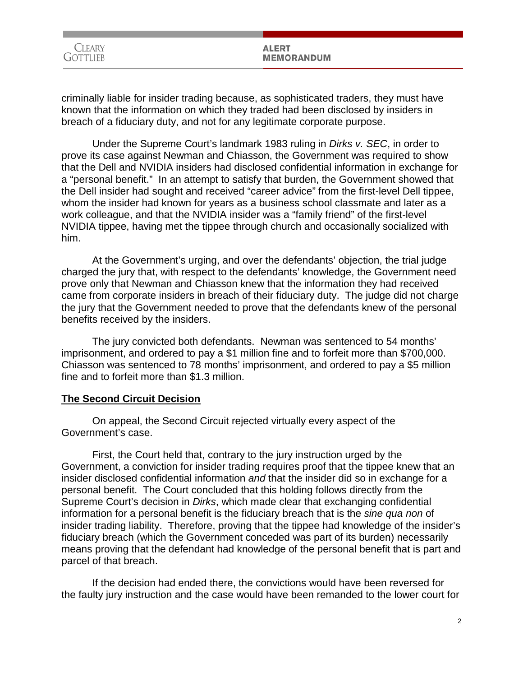| Cleary   | <b>ALERT</b>      |
|----------|-------------------|
| Gottlieb | <b>MEMORANDUM</b> |
|          |                   |

criminally liable for insider trading because, as sophisticated traders, they must have known that the information on which they traded had been disclosed by insiders in breach of a fiduciary duty, and not for any legitimate corporate purpose.

Under the Supreme Court's landmark 1983 ruling in *Dirks v. SEC*, in order to prove its case against Newman and Chiasson, the Government was required to show that the Dell and NVIDIA insiders had disclosed confidential information in exchange for a "personal benefit." In an attempt to satisfy that burden, the Government showed that the Dell insider had sought and received "career advice" from the first-level Dell tippee, whom the insider had known for years as a business school classmate and later as a work colleague, and that the NVIDIA insider was a "family friend" of the first-level NVIDIA tippee, having met the tippee through church and occasionally socialized with him.

At the Government's urging, and over the defendants' objection, the trial judge charged the jury that, with respect to the defendants' knowledge, the Government need prove only that Newman and Chiasson knew that the information they had received came from corporate insiders in breach of their fiduciary duty. The judge did not charge the jury that the Government needed to prove that the defendants knew of the personal benefits received by the insiders.

The jury convicted both defendants. Newman was sentenced to 54 months' imprisonment, and ordered to pay a \$1 million fine and to forfeit more than \$700,000. Chiasson was sentenced to 78 months' imprisonment, and ordered to pay a \$5 million fine and to forfeit more than \$1.3 million.

# **The Second Circuit Decision**

On appeal, the Second Circuit rejected virtually every aspect of the Government's case.

First, the Court held that, contrary to the jury instruction urged by the Government, a conviction for insider trading requires proof that the tippee knew that an insider disclosed confidential information *and* that the insider did so in exchange for a personal benefit. The Court concluded that this holding follows directly from the Supreme Court's decision in *Dirks*, which made clear that exchanging confidential information for a personal benefit is the fiduciary breach that is the *sine qua non* of insider trading liability. Therefore, proving that the tippee had knowledge of the insider's fiduciary breach (which the Government conceded was part of its burden) necessarily means proving that the defendant had knowledge of the personal benefit that is part and parcel of that breach.

If the decision had ended there, the convictions would have been reversed for the faulty jury instruction and the case would have been remanded to the lower court for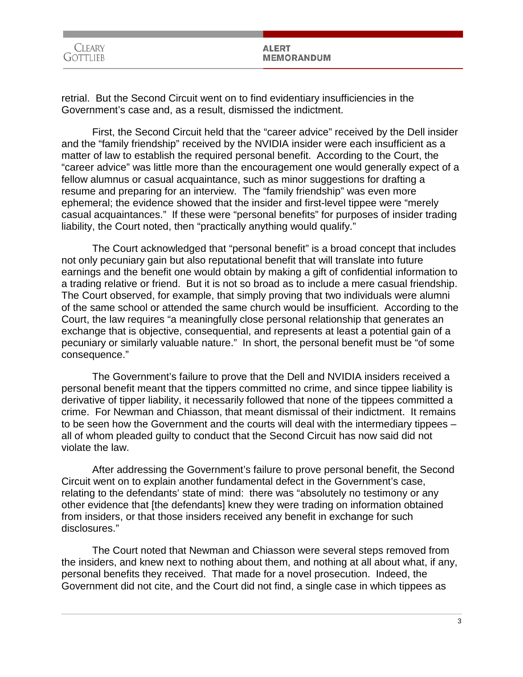| <i>L</i> Teary   |  |
|------------------|--|
| <b>CTOTTLIEB</b> |  |

# **ALERT MEMORANDUM**

retrial. But the Second Circuit went on to find evidentiary insufficiencies in the Government's case and, as a result, dismissed the indictment.

First, the Second Circuit held that the "career advice" received by the Dell insider and the "family friendship" received by the NVIDIA insider were each insufficient as a matter of law to establish the required personal benefit. According to the Court, the "career advice" was little more than the encouragement one would generally expect of a fellow alumnus or casual acquaintance, such as minor suggestions for drafting a resume and preparing for an interview. The "family friendship" was even more ephemeral; the evidence showed that the insider and first-level tippee were "merely casual acquaintances." If these were "personal benefits" for purposes of insider trading liability, the Court noted, then "practically anything would qualify."

The Court acknowledged that "personal benefit" is a broad concept that includes not only pecuniary gain but also reputational benefit that will translate into future earnings and the benefit one would obtain by making a gift of confidential information to a trading relative or friend. But it is not so broad as to include a mere casual friendship. The Court observed, for example, that simply proving that two individuals were alumni of the same school or attended the same church would be insufficient. According to the Court, the law requires "a meaningfully close personal relationship that generates an exchange that is objective, consequential, and represents at least a potential gain of a pecuniary or similarly valuable nature." In short, the personal benefit must be "of some consequence."

The Government's failure to prove that the Dell and NVIDIA insiders received a personal benefit meant that the tippers committed no crime, and since tippee liability is derivative of tipper liability, it necessarily followed that none of the tippees committed a crime. For Newman and Chiasson, that meant dismissal of their indictment. It remains to be seen how the Government and the courts will deal with the intermediary tippees – all of whom pleaded guilty to conduct that the Second Circuit has now said did not violate the law.

After addressing the Government's failure to prove personal benefit, the Second Circuit went on to explain another fundamental defect in the Government's case, relating to the defendants' state of mind: there was "absolutely no testimony or any other evidence that [the defendants] knew they were trading on information obtained from insiders, or that those insiders received any benefit in exchange for such disclosures."

The Court noted that Newman and Chiasson were several steps removed from the insiders, and knew next to nothing about them, and nothing at all about what, if any, personal benefits they received. That made for a novel prosecution. Indeed, the Government did not cite, and the Court did not find, a single case in which tippees as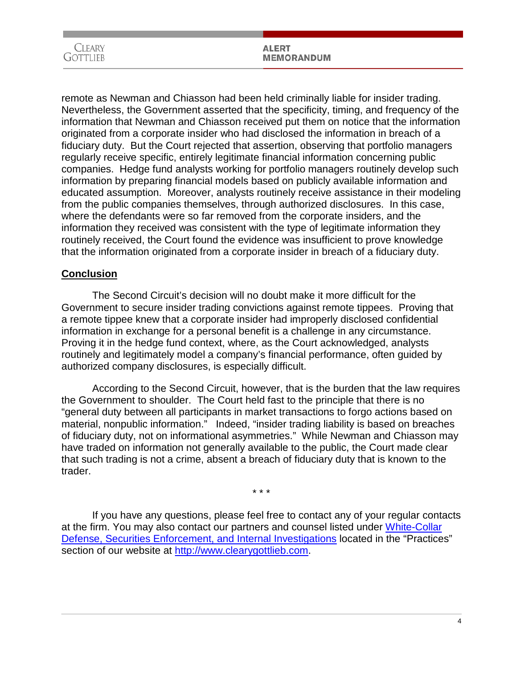| <b>CLEARY</b> | <b>ALERT</b>      |
|---------------|-------------------|
| ⌒<br>GOTTLIEB | <b>MEMORANDUM</b> |

remote as Newman and Chiasson had been held criminally liable for insider trading. Nevertheless, the Government asserted that the specificity, timing, and frequency of the information that Newman and Chiasson received put them on notice that the information originated from a corporate insider who had disclosed the information in breach of a fiduciary duty. But the Court rejected that assertion, observing that portfolio managers regularly receive specific, entirely legitimate financial information concerning public companies. Hedge fund analysts working for portfolio managers routinely develop such information by preparing financial models based on publicly available information and educated assumption. Moreover, analysts routinely receive assistance in their modeling from the public companies themselves, through authorized disclosures. In this case, where the defendants were so far removed from the corporate insiders, and the information they received was consistent with the type of legitimate information they routinely received, the Court found the evidence was insufficient to prove knowledge that the information originated from a corporate insider in breach of a fiduciary duty.

# **Conclusion**

The Second Circuit's decision will no doubt make it more difficult for the Government to secure insider trading convictions against remote tippees. Proving that a remote tippee knew that a corporate insider had improperly disclosed confidential information in exchange for a personal benefit is a challenge in any circumstance. Proving it in the hedge fund context, where, as the Court acknowledged, analysts routinely and legitimately model a company's financial performance, often guided by authorized company disclosures, is especially difficult.

According to the Second Circuit, however, that is the burden that the law requires the Government to shoulder. The Court held fast to the principle that there is no "general duty between all participants in market transactions to forgo actions based on material, nonpublic information." Indeed, "insider trading liability is based on breaches of fiduciary duty, not on informational asymmetries." While Newman and Chiasson may have traded on information not generally available to the public, the Court made clear that such trading is not a crime, absent a breach of fiduciary duty that is known to the trader.

\* \* \*

If you have any questions, please feel free to contact any of your regular contacts at the firm. You may also contact our partners and counsel listed under [White-Collar](http://www.cgsh.com/white-collar_defense_securities_enforcement_and_internal_investigations/)  [Defense, Securities Enforcement, and Internal Investigations](http://www.cgsh.com/white-collar_defense_securities_enforcement_and_internal_investigations/) located in the "Practices" section of our website at [http://www.clearygottlieb.com.](http://www.clearygottlieb.com/)